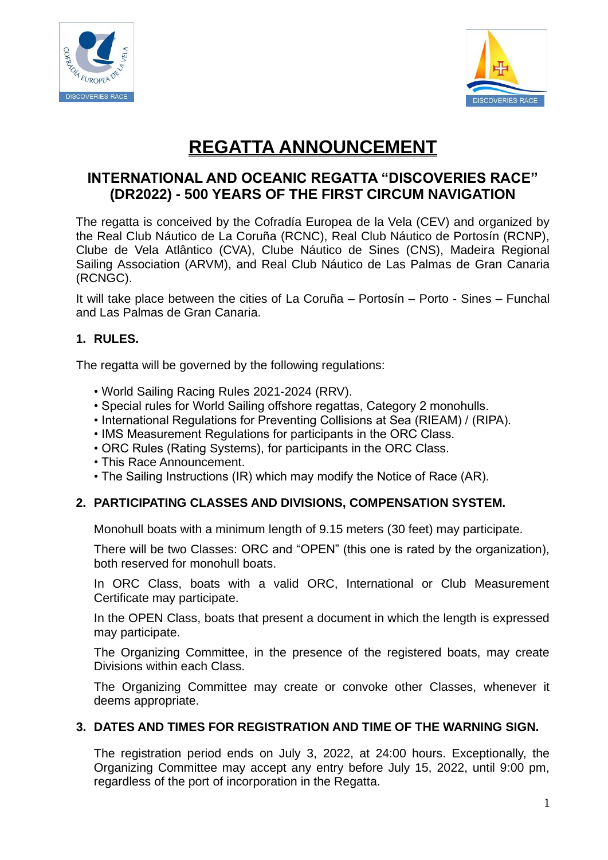



# **REGATTA ANNOUNCEMENT**

# **INTERNATIONAL AND OCEANIC REGATTA "DISCOVERIES RACE" (DR2022) - 500 YEARS OF THE FIRST CIRCUM NAVIGATION**

The regatta is conceived by the Cofradía Europea de la Vela (CEV) and organized by the Real Club Náutico de La Coruña (RCNC), Real Club Náutico de Portosín (RCNP), Clube de Vela Atlântico (CVA), Clube Náutico de Sines (CNS), Madeira Regional Sailing Association (ARVM), and Real Club Náutico de Las Palmas de Gran Canaria (RCNGC).

It will take place between the cities of La Coruña – Portosín – Porto - Sines – Funchal and Las Palmas de Gran Canaria.

#### **1. RULES.**

The regatta will be governed by the following regulations:

- World Sailing Racing Rules 2021-2024 (RRV).
- Special rules for World Sailing offshore regattas, Category 2 monohulls.
- International Regulations for Preventing Collisions at Sea (RIEAM) / (RIPA).
- IMS Measurement Regulations for participants in the ORC Class.
- ORC Rules (Rating Systems), for participants in the ORC Class.
- This Race Announcement.
- The Sailing Instructions (IR) which may modify the Notice of Race (AR).

#### **2. PARTICIPATING CLASSES AND DIVISIONS, COMPENSATION SYSTEM.**

Monohull boats with a minimum length of 9.15 meters (30 feet) may participate.

There will be two Classes: ORC and "OPEN" (this one is rated by the organization), both reserved for monohull boats.

In ORC Class, boats with a valid ORC, International or Club Measurement Certificate may participate.

In the OPEN Class, boats that present a document in which the length is expressed may participate.

The Organizing Committee, in the presence of the registered boats, may create Divisions within each Class.

The Organizing Committee may create or convoke other Classes, whenever it deems appropriate.

#### **3. DATES AND TIMES FOR REGISTRATION AND TIME OF THE WARNING SIGN.**

The registration period ends on July 3, 2022, at 24:00 hours. Exceptionally, the Organizing Committee may accept any entry before July 15, 2022, until 9:00 pm, regardless of the port of incorporation in the Regatta.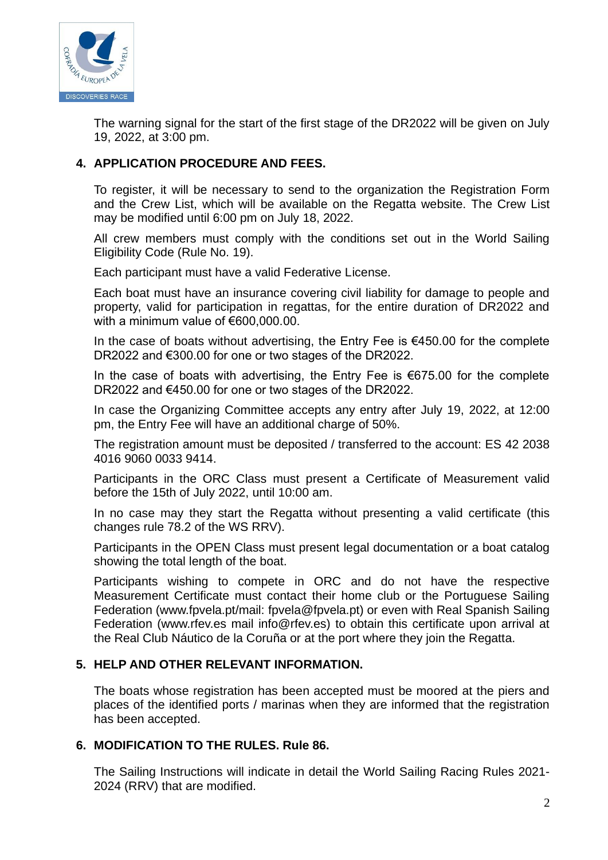

The warning signal for the start of the first stage of the DR2022 will be given on July 19, 2022, at 3:00 pm.

## **4. APPLICATION PROCEDURE AND FEES.**

To register, it will be necessary to send to the organization the Registration Form and the Crew List, which will be available on the Regatta website. The Crew List may be modified until 6:00 pm on July 18, 2022.

All crew members must comply with the conditions set out in the World Sailing Eligibility Code (Rule No. 19).

Each participant must have a valid Federative License.

Each boat must have an insurance covering civil liability for damage to people and property, valid for participation in regattas, for the entire duration of DR2022 and with a minimum value of €600,000,00.

In the case of boats without advertising, the Entry Fee is  $€450.00$  for the complete DR2022 and €300.00 for one or two stages of the DR2022.

In the case of boats with advertising, the Entry Fee is €675.00 for the complete DR2022 and €450.00 for one or two stages of the DR2022.

In case the Organizing Committee accepts any entry after July 19, 2022, at 12:00 pm, the Entry Fee will have an additional charge of 50%.

The registration amount must be deposited / transferred to the account: ES 42 2038 4016 9060 0033 9414.

Participants in the ORC Class must present a Certificate of Measurement valid before the 15th of July 2022, until 10:00 am.

In no case may they start the Regatta without presenting a valid certificate (this changes rule 78.2 of the WS RRV).

Participants in the OPEN Class must present legal documentation or a boat catalog showing the total length of the boat.

Participants wishing to compete in ORC and do not have the respective Measurement Certificate must contact their home club or the Portuguese Sailing Federation (www.fpvela.pt/mail: fpvela@fpvela.pt) or even with Real Spanish Sailing Federation (www.rfev.es mail info@rfev.es) to obtain this certificate upon arrival at the Real Club Náutico de la Coruña or at the port where they join the Regatta.

#### **5. HELP AND OTHER RELEVANT INFORMATION.**

The boats whose registration has been accepted must be moored at the piers and places of the identified ports / marinas when they are informed that the registration has been accepted.

#### **6. MODIFICATION TO THE RULES. Rule 86.**

The Sailing Instructions will indicate in detail the World Sailing Racing Rules 2021- 2024 (RRV) that are modified.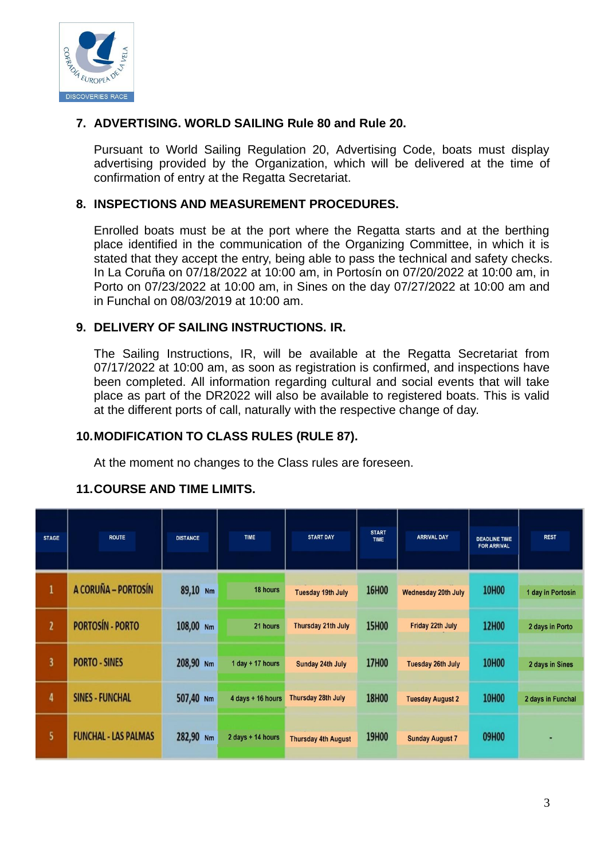

#### **7. ADVERTISING. WORLD SAILING Rule 80 and Rule 20.**

Pursuant to World Sailing Regulation 20, Advertising Code, boats must display advertising provided by the Organization, which will be delivered at the time of confirmation of entry at the Regatta Secretariat.

#### **8. INSPECTIONS AND MEASUREMENT PROCEDURES.**

Enrolled boats must be at the port where the Regatta starts and at the berthing place identified in the communication of the Organizing Committee, in which it is stated that they accept the entry, being able to pass the technical and safety checks. In La Coruña on 07/18/2022 at 10:00 am, in Portosín on 07/20/2022 at 10:00 am, in Porto on 07/23/2022 at 10:00 am, in Sines on the day 07/27/2022 at 10:00 am and in Funchal on 08/03/2019 at 10:00 am.

#### **9. DELIVERY OF SAILING INSTRUCTIONS. IR.**

The Sailing Instructions, IR, will be available at the Regatta Secretariat from 07/17/2022 at 10:00 am, as soon as registration is confirmed, and inspections have been completed. All information regarding cultural and social events that will take place as part of the DR2022 will also be available to registered boats. This is valid at the different ports of call, naturally with the respective change of day.

# **10.MODIFICATION TO CLASS RULES (RULE 87).**

At the moment no changes to the Class rules are foreseen.

#### **11.COURSE AND TIME LIMITS.**

| <b>STAGE</b> | <b>ROUTE</b>                | <b>DISTANCE</b> | TIME               | <b>START DAY</b>           | <b>START</b><br><b>TIME</b> | <b>ARRIVAL DAY</b>       | <b>DEADLINE TIME</b><br><b>FOR ARRIVAL</b> | <b>REST</b>       |
|--------------|-----------------------------|-----------------|--------------------|----------------------------|-----------------------------|--------------------------|--------------------------------------------|-------------------|
| 1            | A CORUÑA - PORTOSÍN         | 89,10 Nm        | 18 hours           | <b>Tuesday 19th July</b>   | 16H00                       | Wednesday 20th July      | <b>10H00</b>                               | 1 day in Portosin |
| $\mathbf{z}$ | <b>PORTOSÍN - PORTO</b>     | 108,00 Nm       | 21 hours           | Thursday 21th July         | <b>15H00</b>                | Friday 22th July         | <b>12H00</b>                               | 2 days in Porto   |
| 3            | <b>PORTO - SINES</b>        | 208,90 Nm       | 1 day $+$ 17 hours | Sunday 24th July           | 17H00                       | <b>Tuesday 26th July</b> | <b>10H00</b>                               | 2 days in Sines   |
| 4            | <b>SINES - FUNCHAL</b>      | 507,40 Nm       | 4 days + 16 hours  | Thursday 28th July         | <b>18H00</b>                | <b>Tuesday August 2</b>  | <b>10H00</b>                               | 2 days in Funchal |
| 5.           | <b>FUNCHAL - LAS PALMAS</b> | 282,90 Nm       | 2 days + 14 hours  | <b>Thursday 4th August</b> | 19H00                       | <b>Sunday August 7</b>   | 09H00                                      | ۰                 |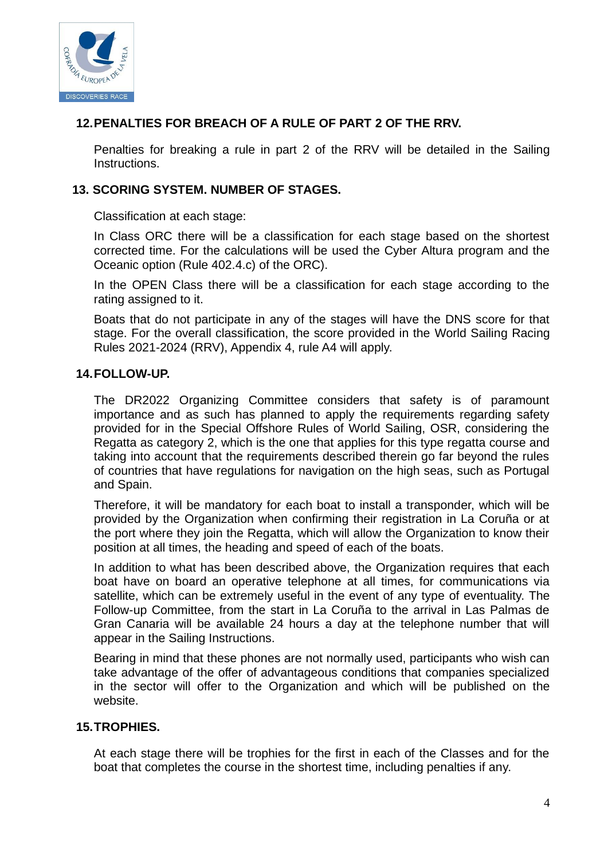

# **12.PENALTIES FOR BREACH OF A RULE OF PART 2 OF THE RRV.**

Penalties for breaking a rule in part 2 of the RRV will be detailed in the Sailing Instructions.

## **13. SCORING SYSTEM. NUMBER OF STAGES.**

Classification at each stage:

In Class ORC there will be a classification for each stage based on the shortest corrected time. For the calculations will be used the Cyber Altura program and the Oceanic option (Rule 402.4.c) of the ORC).

In the OPEN Class there will be a classification for each stage according to the rating assigned to it.

Boats that do not participate in any of the stages will have the DNS score for that stage. For the overall classification, the score provided in the World Sailing Racing Rules 2021-2024 (RRV), Appendix 4, rule A4 will apply.

#### **14.FOLLOW-UP.**

The DR2022 Organizing Committee considers that safety is of paramount importance and as such has planned to apply the requirements regarding safety provided for in the Special Offshore Rules of World Sailing, OSR, considering the Regatta as category 2, which is the one that applies for this type regatta course and taking into account that the requirements described therein go far beyond the rules of countries that have regulations for navigation on the high seas, such as Portugal and Spain.

Therefore, it will be mandatory for each boat to install a transponder, which will be provided by the Organization when confirming their registration in La Coruña or at the port where they join the Regatta, which will allow the Organization to know their position at all times, the heading and speed of each of the boats.

In addition to what has been described above, the Organization requires that each boat have on board an operative telephone at all times, for communications via satellite, which can be extremely useful in the event of any type of eventuality. The Follow-up Committee, from the start in La Coruña to the arrival in Las Palmas de Gran Canaria will be available 24 hours a day at the telephone number that will appear in the Sailing Instructions.

Bearing in mind that these phones are not normally used, participants who wish can take advantage of the offer of advantageous conditions that companies specialized in the sector will offer to the Organization and which will be published on the website.

#### **15.TROPHIES.**

At each stage there will be trophies for the first in each of the Classes and for the boat that completes the course in the shortest time, including penalties if any.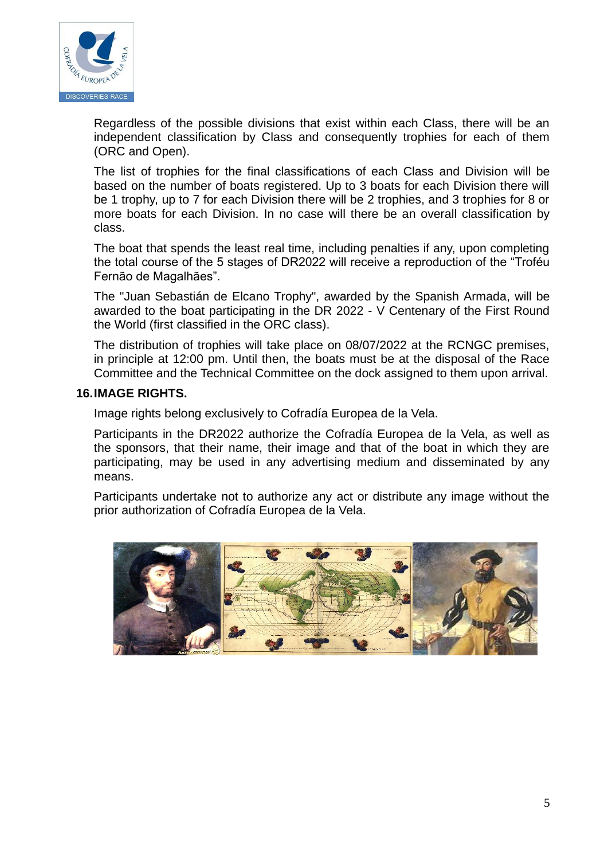

Regardless of the possible divisions that exist within each Class, there will be an independent classification by Class and consequently trophies for each of them (ORC and Open).

The list of trophies for the final classifications of each Class and Division will be based on the number of boats registered. Up to 3 boats for each Division there will be 1 trophy, up to 7 for each Division there will be 2 trophies, and 3 trophies for 8 or more boats for each Division. In no case will there be an overall classification by class.

The boat that spends the least real time, including penalties if any, upon completing the total course of the 5 stages of DR2022 will receive a reproduction of the "Troféu Fernão de Magalhães".

The "Juan Sebastián de Elcano Trophy", awarded by the Spanish Armada, will be awarded to the boat participating in the DR 2022 - V Centenary of the First Round the World (first classified in the ORC class).

The distribution of trophies will take place on 08/07/2022 at the RCNGC premises, in principle at 12:00 pm. Until then, the boats must be at the disposal of the Race Committee and the Technical Committee on the dock assigned to them upon arrival.

#### **16.IMAGE RIGHTS.**

Image rights belong exclusively to Cofradía Europea de la Vela.

Participants in the DR2022 authorize the Cofradía Europea de la Vela, as well as the sponsors, that their name, their image and that of the boat in which they are participating, may be used in any advertising medium and disseminated by any means.

Participants undertake not to authorize any act or distribute any image without the prior authorization of Cofradía Europea de la Vela.